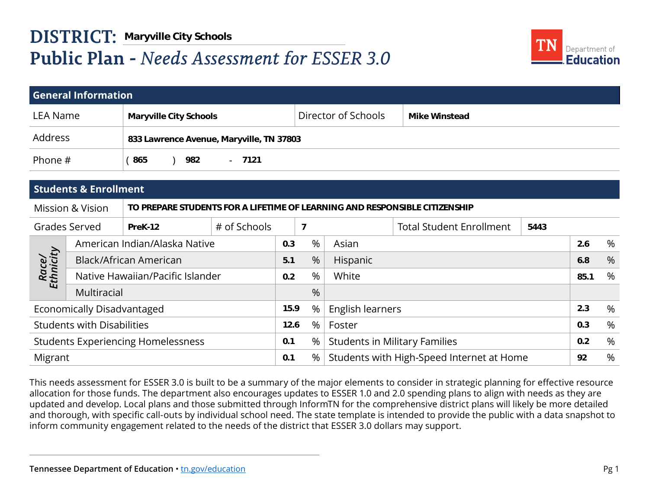

|                    |                                   | <b>DISTRICT: Maryville City Schools</b>                                    |              |      |      |                                      |                                           |      |                                   |      |
|--------------------|-----------------------------------|----------------------------------------------------------------------------|--------------|------|------|--------------------------------------|-------------------------------------------|------|-----------------------------------|------|
|                    |                                   | <b>Public Plan - Needs Assessment for ESSER 3.0</b>                        |              |      |      |                                      |                                           |      | Department of<br><b>Education</b> |      |
|                    |                                   |                                                                            |              |      |      |                                      |                                           |      |                                   |      |
|                    | <b>General Information</b>        |                                                                            |              |      |      |                                      |                                           |      |                                   |      |
| <b>LEA Name</b>    |                                   | <b>Maryville City Schools</b>                                              |              |      |      | Director of Schools                  | <b>Mike Winstead</b>                      |      |                                   |      |
| Address            |                                   | 833 Lawrence Avenue, Maryville, TN 37803                                   |              |      |      |                                      |                                           |      |                                   |      |
| Phone #            |                                   | 982<br>(865)                                                               | $-7121$      |      |      |                                      |                                           |      |                                   |      |
|                    |                                   |                                                                            |              |      |      |                                      |                                           |      |                                   |      |
|                    | <b>Students &amp; Enrollment</b>  |                                                                            |              |      |      |                                      |                                           |      |                                   |      |
|                    | <b>Mission &amp; Vision</b>       | TO PREPARE STUDENTS FOR A LIFETIME OF LEARNING AND RESPONSIBLE CITIZENSHIP |              |      |      |                                      |                                           |      |                                   |      |
|                    | <b>Grades Served</b>              | PreK-12                                                                    | # of Schools |      | 7    |                                      | <b>Total Student Enrollment</b>           | 5443 |                                   |      |
|                    |                                   | American Indian/Alaska Native                                              |              | 0.3  | $\%$ | Asian                                |                                           |      | 2.6                               | %    |
|                    |                                   | <b>Black/African American</b>                                              |              | 5.1  | %    | Hispanic                             |                                           |      | 6.8                               | %    |
| Race/<br>Ethnicity |                                   | Native Hawaiian/Pacific Islander                                           |              | 0.2  | $\%$ | White                                |                                           |      | 85.1                              | %    |
|                    | Multiracial                       |                                                                            |              |      | %    |                                      |                                           |      |                                   |      |
|                    | Economically Disadvantaged        |                                                                            |              | 15.9 | %    | English learners                     |                                           |      | 2.3                               | %    |
|                    | <b>Students with Disabilities</b> |                                                                            |              | 12.6 | %    | Foster                               |                                           |      | 0.3                               | $\%$ |
|                    |                                   | <b>Students Experiencing Homelessness</b>                                  |              | 0.1  | %    | <b>Students in Military Families</b> |                                           |      | 0.2                               | %    |
| Migrant            |                                   |                                                                            |              | 0.1  | %    |                                      | Students with High-Speed Internet at Home |      | 92                                | %    |
|                    |                                   |                                                                            |              |      |      |                                      |                                           |      |                                   |      |

This needs assessment for ESSER 3.0 is built to be a summary of the major elements to consider in strategic planning for effective resource allocation for those funds. The department also encourages updates to ESSER 1.0 and 2.0 spending plans to align with needs as they are updated and develop. Local plans and those submitted through InformTN for the comprehensive district plans will likely be more detailed and thorough, with specific call-outs by individual school need. The state template is intended to provide the public with a data snapshot to inform community engagement related to the needs of the district that ESSER 3.0 dollars may support.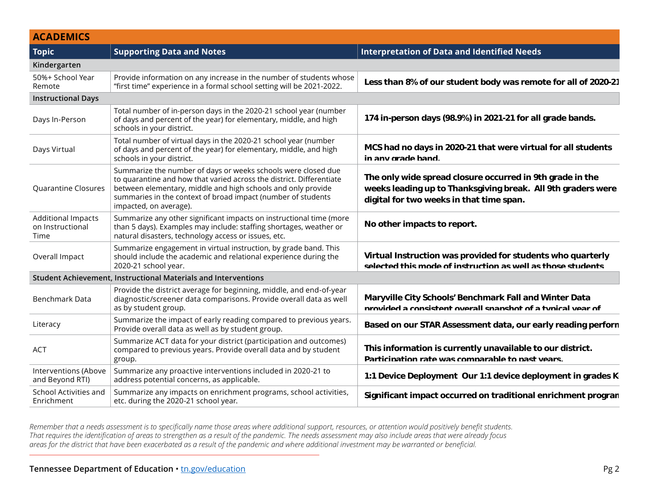| MENDENTICS<br>Topic strategy of the supporting Data and Notes<br>Kindergarten                                          |
|------------------------------------------------------------------------------------------------------------------------|
|                                                                                                                        |
|                                                                                                                        |
|                                                                                                                        |
|                                                                                                                        |
|                                                                                                                        |
|                                                                                                                        |
|                                                                                                                        |
|                                                                                                                        |
|                                                                                                                        |
|                                                                                                                        |
|                                                                                                                        |
|                                                                                                                        |
|                                                                                                                        |
|                                                                                                                        |
|                                                                                                                        |
|                                                                                                                        |
|                                                                                                                        |
|                                                                                                                        |
|                                                                                                                        |
|                                                                                                                        |
|                                                                                                                        |
|                                                                                                                        |
|                                                                                                                        |
| $\frac{1}{2}$ and the propertion and buttomes $\frac{1}{2}$ This information is currently unavailable to our district. |
|                                                                                                                        |
|                                                                                                                        |
|                                                                                                                        |
|                                                                                                                        |
|                                                                                                                        |
|                                                                                                                        |

*Remember that a needs assessment is to specifically name those areas where additional support, resources, or attention would positively benefit students. That requires the identification of areas to strengthen as a result of the pandemic. The needs assessment may also include areas that were already focus areas for the district that have been exacerbated as a result of the pandemic and where additional investment may be warranted or beneficial.* accommodation would needtively henefit students ay also include areas that were already focus ent may be warranted or beneficial. **Really suppose possible certainly helped mitigate a huge increase of poor**  structure would positively belief it students.<br>www.alco.include.orgas.that were already focus *result may be warranted or beneficial.*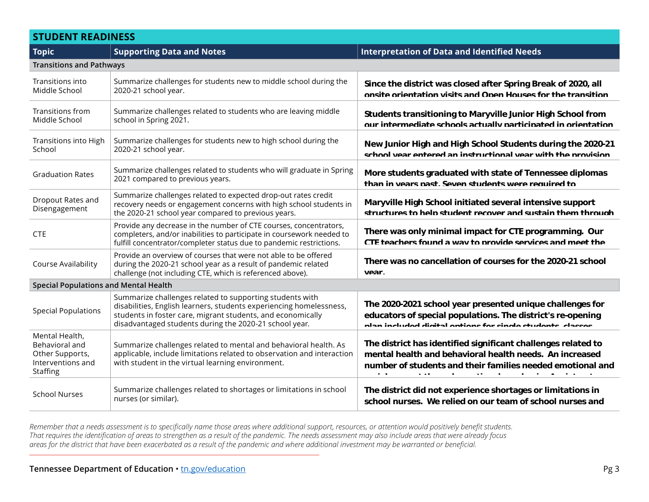# **STUDENT READINESS**

| <b>Topic</b>                                                                                | <b>Supporting Data and Notes</b>                                                                                                                                                                                                                         | <b>Interpretation of Data and Identified Needs</b>                                                                                                                                                                                                                                                                                     |  |
|---------------------------------------------------------------------------------------------|----------------------------------------------------------------------------------------------------------------------------------------------------------------------------------------------------------------------------------------------------------|----------------------------------------------------------------------------------------------------------------------------------------------------------------------------------------------------------------------------------------------------------------------------------------------------------------------------------------|--|
| <b>Transitions and Pathways</b>                                                             |                                                                                                                                                                                                                                                          |                                                                                                                                                                                                                                                                                                                                        |  |
| Transitions into<br>Middle School                                                           | Summarize challenges for students new to middle school during the<br>Since the district was closed after Spring Break of 2020, all<br>2020-21 school year.<br>onsite orientation visits and Onen Houses for the transition                               |                                                                                                                                                                                                                                                                                                                                        |  |
| Transitions from<br>Middle School                                                           | Summarize challenges related to students who are leaving middle<br>school in Spring 2021.                                                                                                                                                                | Students transitioning to Maryville Junior High School from<br>our intermediate schools actually narticinated in orientation                                                                                                                                                                                                           |  |
| Transitions into High<br>School                                                             | Summarize challenges for students new to high school during the<br>2020-21 school year.                                                                                                                                                                  | New Junior High and High School Students during the 2020-21<br>school vear entered an instructional vear with the provision                                                                                                                                                                                                            |  |
| <b>Graduation Rates</b>                                                                     | Summarize challenges related to students who will graduate in Spring<br>2021 compared to previous years.                                                                                                                                                 | More students graduated with state of Tennessee diplomas<br>than in years past. Seven students were required to                                                                                                                                                                                                                        |  |
| Dropout Rates and<br>Disengagement                                                          | Summarize challenges related to expected drop-out rates credit<br>recovery needs or engagement concerns with high school students in<br>the 2020-21 school year compared to previous years.                                                              | Maryville High School initiated several intensive support<br>structures to help student recover and sustain them through                                                                                                                                                                                                               |  |
| <b>CTE</b>                                                                                  | Provide any decrease in the number of CTE courses, concentrators,<br>completers, and/or inabilities to participate in coursework needed to<br>fulfill concentrator/completer status due to pandemic restrictions.                                        | There was only minimal impact for CTE programming. Our<br>CTF teachers found a way to provide services and meet the                                                                                                                                                                                                                    |  |
| Course Availability                                                                         | Provide an overview of courses that were not able to be offered<br>during the 2020-21 school year as a result of pandemic related<br>challenge (not including CTE, which is referenced above).                                                           | There was no cancellation of courses for the 2020-21 school<br>Vear                                                                                                                                                                                                                                                                    |  |
| <b>Special Populations and Mental Health</b>                                                |                                                                                                                                                                                                                                                          |                                                                                                                                                                                                                                                                                                                                        |  |
| <b>Special Populations</b>                                                                  | Summarize challenges related to supporting students with<br>disabilities, English learners, students experiencing homelessness,<br>students in foster care, migrant students, and economically<br>disadvantaged students during the 2020-21 school year. | The 2020-2021 school year presented unique challenges for<br>educators of special populations. The district's re-opening<br>nlan included digital entians for single students, classes                                                                                                                                                 |  |
| Mental Health,<br>Behavioral and<br>Other Supports,<br>Interventions and<br><b>Staffing</b> | Summarize challenges related to mental and behavioral health. As<br>applicable, include limitations related to observation and interaction<br>with student in the virtual learning environment.                                                          | The district has identified significant challenges related to<br>mental health and behavioral health needs. An increased<br>number of students and their families needed emotional and<br>$\sim$ $\sim$<br>$\sim$ 100 $\pm$<br>$\mathbf{a} \cdot \mathbf{b} = \mathbf{a} \cdot \mathbf{b}$ . In the $\mathbf{a}$<br><b>State State</b> |  |
| <b>School Nurses</b>                                                                        | Summarize challenges related to shortages or limitations in school<br>nurses (or similar).                                                                                                                                                               | The district did not experience shortages or limitations in<br>school nurses. We relied on our team of school nurses and                                                                                                                                                                                                               |  |

*Remember that a needs assessment is to specifically name those areas where additional support, resources, or attention would positively benefit students. That requires the identification of areas to strengthen as a result of the pandemic. The needs assessment may also include areas that were already focus areas for the district that have been exacerbated as a result of the pandemic and where additional investment may be warranted or beneficial.* **than** a teach in a digital digital velocity benefit students. **studies (dependent online subserversions)** and  $\alpha$  is the subserversions of  $\alpha$  is the subserversion of  $\alpha$  is the subserversion of  $\alpha$  is the subserversion of  $\alpha$  is the subserversion of  $\alpha$  is the subserversion of **translation, AAC) including students with disabilities, English and magnified intensity. Behaviors in young children needed**  increased to the limitation of the limitation of the limitations of the limitation of the limitations of the li<br>In the limitation of the limitations of the limitations of the limitations of the limitations of the limitatio **ent may be warranted or beneficial. Supports of all the changes of at-home learning certains** incredibly and the provide to provide the provident support to the support of the support of the support of the s<br>Support to a support the support of the support of the support of the support of the support of the support ay also include areas that were already focus ent may be warranted or beneficial.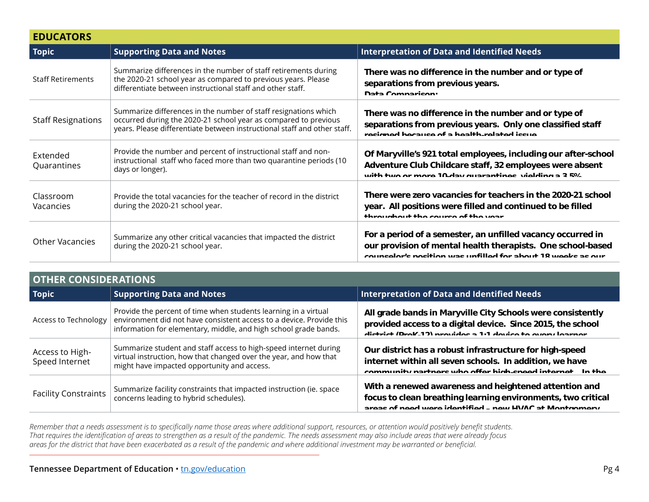| <b>EDUCATORS</b>          |                                                                                                                                                                                                                |                                                                                                                                                                                           |
|---------------------------|----------------------------------------------------------------------------------------------------------------------------------------------------------------------------------------------------------------|-------------------------------------------------------------------------------------------------------------------------------------------------------------------------------------------|
| <b>Topic</b>              | <b>Supporting Data and Notes</b>                                                                                                                                                                               | <b>Interpretation of Data and Identified Needs</b>                                                                                                                                        |
| <b>Staff Retirements</b>  | Summarize differences in the number of staff retirements during<br>the 2020-21 school year as compared to previous years. Please<br>differentiate between instructional staff and other staff.                 | There was no difference in the number and or type of<br>separations from previous years.<br>Data Comparison:                                                                              |
| <b>Staff Resignations</b> | Summarize differences in the number of staff resignations which<br>occurred during the 2020-21 school year as compared to previous<br>years. Please differentiate between instructional staff and other staff. | There was no difference in the number and or type of<br>separations from previous years. Only one classified staff<br>recinned hecause of a health related issue                          |
| Extended<br>Quarantines   | Provide the number and percent of instructional staff and non-<br>instructional staff who faced more than two quarantine periods (10<br>days or longer).                                                       | Of Maryville's 921 total employees, including our after-school<br>Adventure Club Childcare staff, 32 employees were absent<br>with two or more 10 day quarantinos, violding a 2 E.V.      |
| Classroom<br>Vacancies    | Provide the total vacancies for the teacher of record in the district<br>during the 2020-21 school year.                                                                                                       | There were zero vacancies for teachers in the 2020-21 school<br>year. All positions were filled and continued to be filled<br>throughout the course of the year                           |
| <b>Other Vacancies</b>    | Summarize any other critical vacancies that impacted the district<br>during the 2020-21 school year.                                                                                                           | For a period of a semester, an unfilled vacancy occurred in<br>our provision of mental health therapists. One school-based<br>counseler's position was unfilled for about 18 weeks as our |

|                                   | <b>OTHER CONSIDERATIONS</b>                                                                                                                                                                                 |                                                                                                                                                                                          |  |
|-----------------------------------|-------------------------------------------------------------------------------------------------------------------------------------------------------------------------------------------------------------|------------------------------------------------------------------------------------------------------------------------------------------------------------------------------------------|--|
| <b>Topic</b>                      | <b>Supporting Data and Notes</b>                                                                                                                                                                            | Interpretation of Data and Identified Needs                                                                                                                                              |  |
| Access to Technology              | Provide the percent of time when students learning in a virtual<br>environment did not have consistent access to a device. Provide this<br>information for elementary, middle, and high school grade bands. | All grade bands in Maryville City Schools were consistently<br>provided access to a digital device. Since 2015, the school<br>district (Prof. 12) provides a 1.1 device to every learner |  |
| Access to High-<br>Speed Internet | Summarize student and staff access to high-speed internet during<br>virtual instruction, how that changed over the year, and how that<br>might have impacted opportunity and access.                        | Our district has a robust infrastructure for high-speed<br>internet within all seven schools. In addition, we have<br>community nartners who offer high speed internet. In the           |  |
| <b>Facility Constraints</b>       | Summarize facility constraints that impacted instruction (ie. space<br>concerns leading to hybrid schedules).                                                                                               | With a renewed awareness and heightened attention and<br>focus to clean breathing learning environments, two critical<br>areas of need were identified new HVAC at Mentgomery            |  |

*Remember that a needs assessment is to specifically name those areas where additional support, resources, or attention would positively benefit students. That requires the identification of areas to strengthen as a result of the pandemic. The needs assessment may also include areas that were already focus areas for the district that have been exacerbated as a result of the pandemic and where additional investment may be warranted or beneficial. h* and the increase of the increase of the increase of the increase of the increase of the increase of the increase of the increase of the increase of the increase of the increase of the increase of the increase of the **ray also include areas that were already focus responds** ent may be warranted or beneficial. **Fixall deviate were all of the software**  $\mathfrak s$ , or attention would positively benefit students. **district was able to secure the secure was about the secure to meet the secure to meet the secure to meet the need. Ridge Intermediate School and a new roof at Maryville Junior**  high School and Both School. Both School. Both School. Both School. Both and the school. Both School. Both School.<br>In the school and a school. Both ware already facus. *reduced or beneficial. reduced or beneficial.*